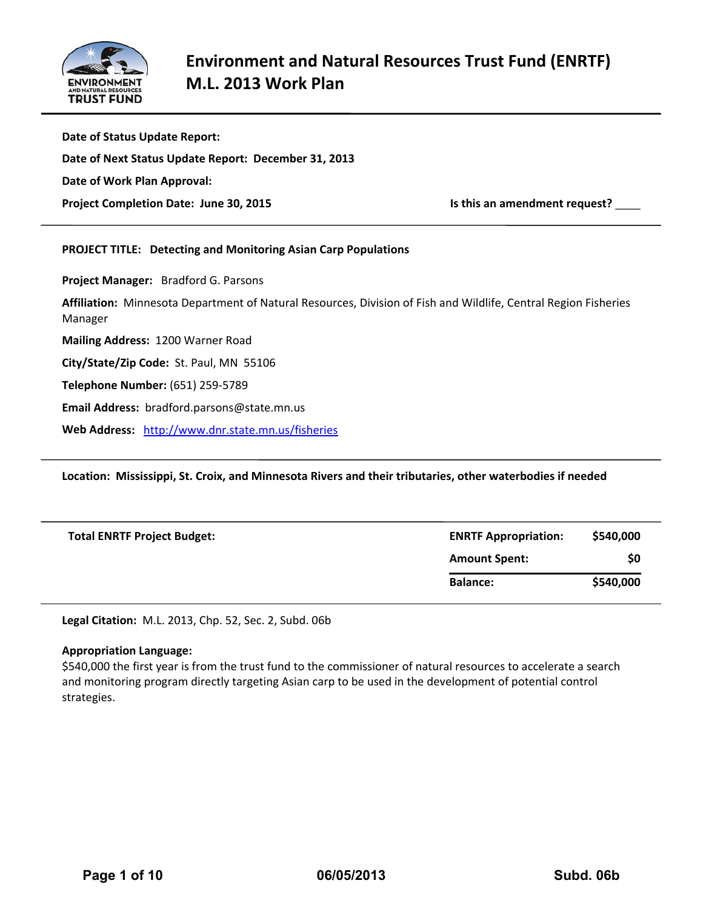

| Date of Status Update Report:                                                                                              |                               |
|----------------------------------------------------------------------------------------------------------------------------|-------------------------------|
| Date of Next Status Update Report: December 31, 2013                                                                       |                               |
| Date of Work Plan Approval:                                                                                                |                               |
| Project Completion Date: June 30, 2015                                                                                     | Is this an amendment request? |
| <b>PROJECT TITLE: Detecting and Monitoring Asian Carp Populations</b>                                                      |                               |
| Project Manager: Bradford G. Parsons                                                                                       |                               |
| Affiliation: Minnesota Department of Natural Resources, Division of Fish and Wildlife, Central Region Fisheries<br>Manager |                               |
| Mailing Address: 1200 Warner Road                                                                                          |                               |
| City/State/Zip Code: St. Paul, MN 55106                                                                                    |                               |
| Telephone Number: (651) 259-5789                                                                                           |                               |
| Email Address: bradford.parsons@state.mn.us                                                                                |                               |
| Web Address: http://www.dnr.state.mn.us/fisheries                                                                          |                               |

**Location: Mississippi, St. Croix, and Minnesota Rivers and their tributaries, other waterbodies if needed**

| <b>Total ENRTF Project Budget:</b> | <b>ENRTF Appropriation:</b> | \$540,000 |
|------------------------------------|-----------------------------|-----------|
|                                    | <b>Amount Spent:</b>        | \$0       |
|                                    | <b>Balance:</b>             | \$540,000 |

**Legal Citation:** M.L. 2013, Chp. 52, Sec. 2, Subd. 06b

#### **Appropriation Language:**

\$540,000 the first year is from the trust fund to the commissioner of natural resources to accelerate a search and monitoring program directly targeting Asian carp to be used in the development of potential control strategies.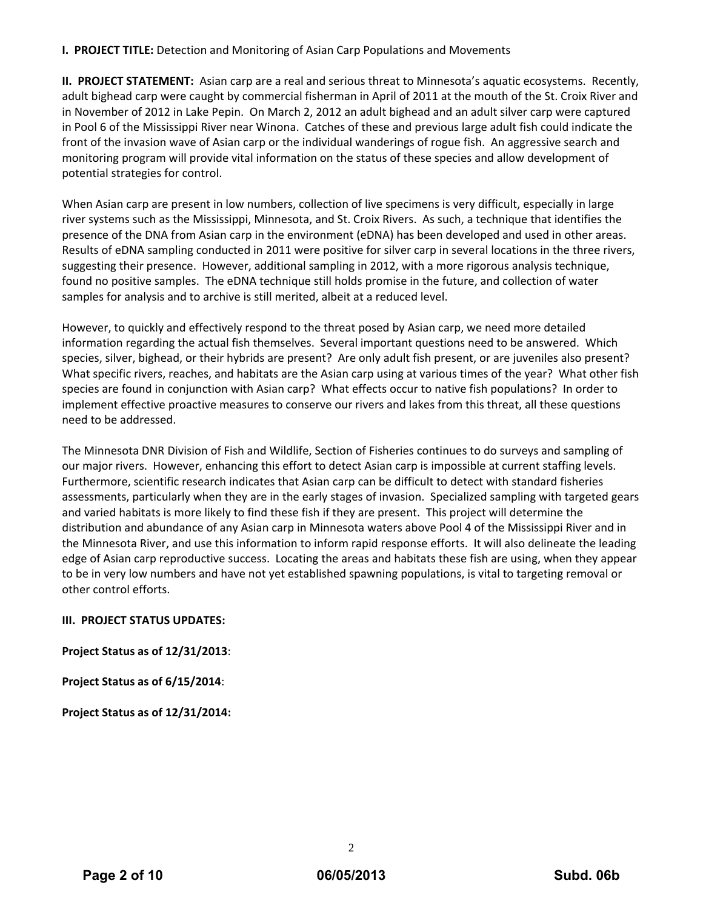## **I. PROJECT TITLE:** Detection and Monitoring of Asian Carp Populations and Movements

**II.** PROJECT STATEMENT: Asian carp are a real and serious threat to Minnesota's aquatic ecosystems. Recently, adult bighead carp were caught by commercial fisherman in April of 2011 at the mouth of the St. Croix River and in November of 2012 in Lake Pepin. On March 2, 2012 an adult bighead and an adult silver carp were captured in Pool 6 of the Mississippi River near Winona. Catches of these and previous large adult fish could indicate the front of the invasion wave of Asian carp or the individual wanderings of rogue fish. An aggressive search and monitoring program will provide vital information on the status of these species and allow development of potential strategies for control.

When Asian carp are present in low numbers, collection of live specimens is very difficult, especially in large river systems such as the Mississippi, Minnesota, and St. Croix Rivers. As such, a technique that identifies the presence of the DNA from Asian carp in the environment (eDNA) has been developed and used in other areas. Results of eDNA sampling conducted in 2011 were positive for silver carp in several locations in the three rivers, suggesting their presence. However, additional sampling in 2012, with a more rigorous analysis technique, found no positive samples. The eDNA technique still holds promise in the future, and collection of water samples for analysis and to archive is still merited, albeit at a reduced level.

However, to quickly and effectively respond to the threat posed by Asian carp, we need more detailed information regarding the actual fish themselves. Several important questions need to be answered. Which species, silver, bighead, or their hybrids are present? Are only adult fish present, or are juveniles also present? What specific rivers, reaches, and habitats are the Asian carp using at various times of the year? What other fish species are found in conjunction with Asian carp? What effects occur to native fish populations? In order to implement effective proactive measures to conserve our rivers and lakes from this threat, all these questions need to be addressed.

The Minnesota DNR Division of Fish and Wildlife, Section of Fisheries continues to do surveys and sampling of our major rivers. However, enhancing this effort to detect Asian carp is impossible at current staffing levels. Furthermore, scientific research indicates that Asian carp can be difficult to detect with standard fisheries assessments, particularly when they are in the early stages of invasion. Specialized sampling with targeted gears and varied habitats is more likely to find these fish if they are present. This project will determine the distribution and abundance of any Asian carp in Minnesota waters above Pool 4 of the Mississippi River and in the Minnesota River, and use this information to inform rapid response efforts. It will also delineate the leading edge of Asian carp reproductive success. Locating the areas and habitats these fish are using, when they appear to be in very low numbers and have not yet established spawning populations, is vital to targeting removal or other control efforts.

## **III. PROJECT STATUS UPDATES:**

**Project Status as of 12/31/2013**:

**Project Status as of 6/15/2014**:

**Project Status as of 12/31/2014:**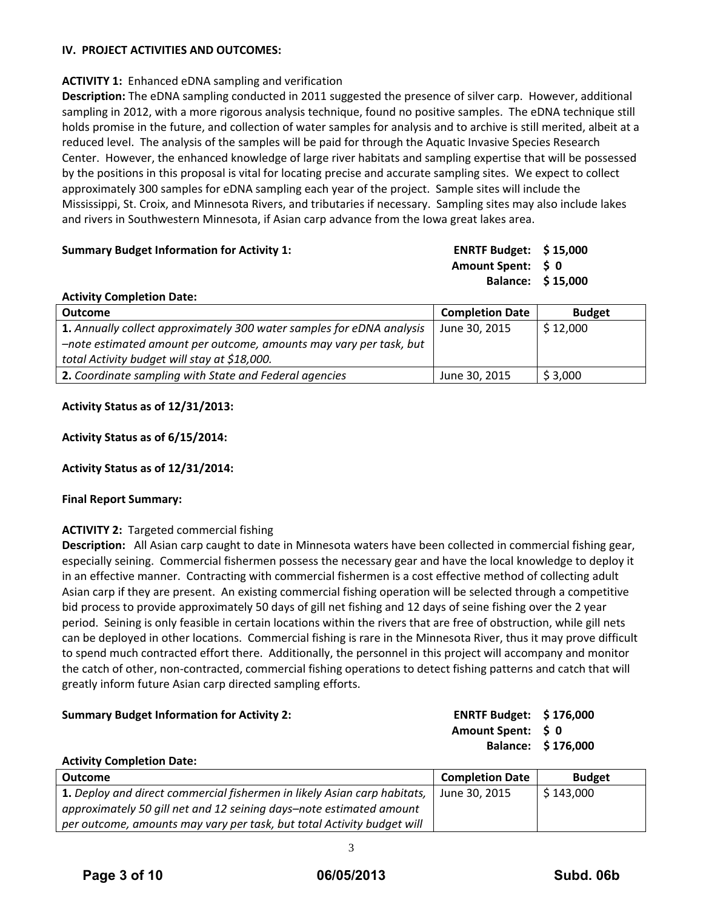# **IV. PROJECT ACTIVITIES AND OUTCOMES:**

## **ACTIVITY 1:** Enhanced eDNA sampling and verification

**Description:** The eDNA sampling conducted in 2011 suggested the presence of silver carp. However, additional sampling in 2012, with a more rigorous analysis technique, found no positive samples. The eDNA technique still holds promise in the future, and collection of water samples for analysis and to archive is still merited, albeit at a reduced level. The analysis of the samples will be paid for through the Aquatic Invasive Species Research Center. However, the enhanced knowledge of large river habitats and sampling expertise that will be possessed by the positions in this proposal is vital for locating precise and accurate sampling sites. We expect to collect approximately 300 samples for eDNA sampling each year of the project. Sample sites will include the Mississippi, St. Croix, and Minnesota Rivers, and tributaries if necessary. Sampling sites may also include lakes and rivers in Southwestern Minnesota, if Asian carp advance from the Iowa great lakes area.

| ENRTF Budget: $$15,000$<br><b>Summary Budget Information for Activity 1:</b> |                   |
|------------------------------------------------------------------------------|-------------------|
| Amount Spent: S 0                                                            |                   |
|                                                                              | Balance: \$15,000 |

| <b>Outcome</b>                                                        | <b>Completion Date</b> | <b>Budget</b> |
|-----------------------------------------------------------------------|------------------------|---------------|
| 1. Annually collect approximately 300 water samples for eDNA analysis | June 30, 2015          | \$12,000      |
| -note estimated amount per outcome, amounts may vary per task, but    |                        |               |
| total Activity budget will stay at \$18,000.                          |                        |               |
| 2. Coordinate sampling with State and Federal agencies                | June 30, 2015          | \$3,000       |
|                                                                       |                        |               |

## **Activity Status as of 12/31/2013:**

**Activity Completion Date:**

## **Activity Status as of 6/15/2014:**

## **Activity Status as of 12/31/2014:**

## **Final Report Summary:**

## **ACTIVITY 2:** Targeted commercial fishing

**Description:** All Asian carp caught to date in Minnesota waters have been collected in commercial fishing gear, especially seining. Commercial fishermen possess the necessary gear and have the local knowledge to deploy it in an effective manner. Contracting with commercial fishermen is a cost effective method of collecting adult Asian carp if they are present. An existing commercial fishing operation will be selected through a competitive bid process to provide approximately 50 days of gill net fishing and 12 days of seine fishing over the 2 year period. Seining is only feasible in certain locations within the rivers that are free of obstruction, while gill nets can be deployed in other locations. Commercial fishing is rare in the Minnesota River, thus it may prove difficult to spend much contracted effort there. Additionally, the personnel in this project will accompany and monitor the catch of other, non‐contracted, commercial fishing operations to detect fishing patterns and catch that will greatly inform future Asian carp directed sampling efforts.

## **Summary Budget Information for Activity 2: ENRTF Budget: \$ 176,000**

# **Amount Spent: \$ 0 Balance: \$ 176,000**

#### **Activity Completion Date:**

| <b>Outcome</b>                                                           | <b>Completion Date</b> | <b>Budget</b> |
|--------------------------------------------------------------------------|------------------------|---------------|
| 1. Deploy and direct commercial fishermen in likely Asian carp habitats, | June 30, 2015          | \$143,000     |
| approximately 50 gill net and 12 seining days-note estimated amount      |                        |               |
| per outcome, amounts may vary per task, but total Activity budget will   |                        |               |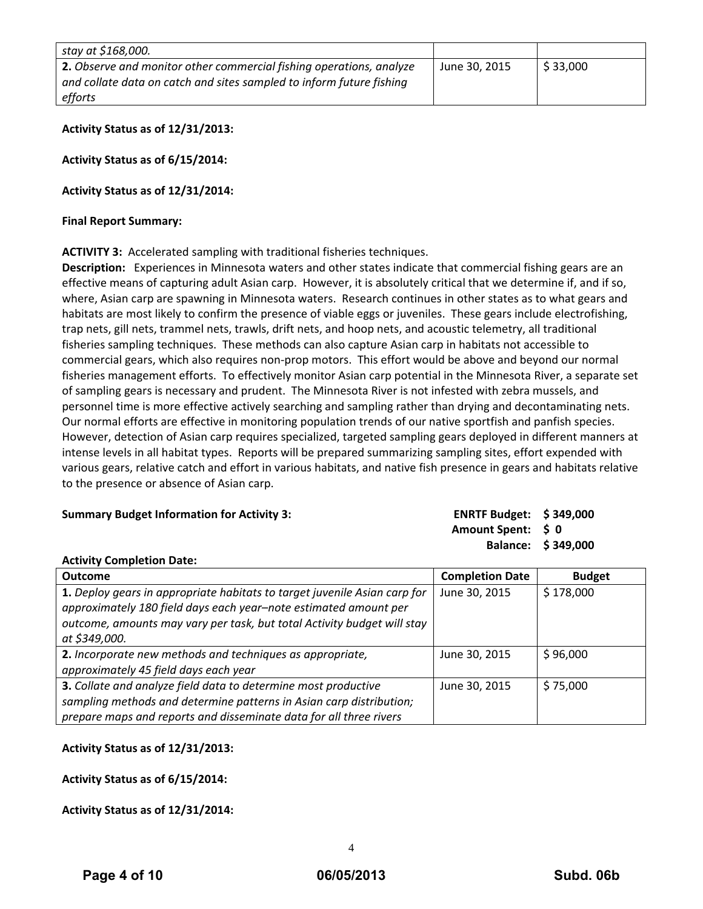| stay at \$168,000.                                                   |               |          |
|----------------------------------------------------------------------|---------------|----------|
| 2. Observe and monitor other commercial fishing operations, analyze  | June 30, 2015 | \$33,000 |
| and collate data on catch and sites sampled to inform future fishing |               |          |
| efforts                                                              |               |          |

**Activity Status as of 12/31/2013:** 

**Activity Status as of 6/15/2014:** 

**Activity Status as of 12/31/2014:** 

#### **Final Report Summary:**

**ACTIVITY 3:** Accelerated sampling with traditional fisheries techniques.

**Description:** Experiences in Minnesota waters and other states indicate that commercial fishing gears are an effective means of capturing adult Asian carp. However, it is absolutely critical that we determine if, and if so, where, Asian carp are spawning in Minnesota waters. Research continues in other states as to what gears and habitats are most likely to confirm the presence of viable eggs or juveniles. These gears include electrofishing, trap nets, gill nets, trammel nets, trawls, drift nets, and hoop nets, and acoustic telemetry, all traditional fisheries sampling techniques. These methods can also capture Asian carp in habitats not accessible to commercial gears, which also requires non‐prop motors. This effort would be above and beyond our normal fisheries management efforts. To effectively monitor Asian carp potential in the Minnesota River, a separate set of sampling gears is necessary and prudent. The Minnesota River is not infested with zebra mussels, and personnel time is more effective actively searching and sampling rather than drying and decontaminating nets. Our normal efforts are effective in monitoring population trends of our native sportfish and panfish species. However, detection of Asian carp requires specialized, targeted sampling gears deployed in different manners at intense levels in all habitat types. Reports will be prepared summarizing sampling sites, effort expended with various gears, relative catch and effort in various habitats, and native fish presence in gears and habitats relative to the presence or absence of Asian carp.

#### **Summary Budget Information for Activity 3:**

| <b>ENRTF Budget: \$349,000</b> |                |
|--------------------------------|----------------|
| <b>Amount Spent:</b>           | $\mathsf{S}$ 0 |
| <b>Balance:</b>                | \$349,000      |

#### **Activity Completion Date:**

| <b>Outcome</b>                                                            | <b>Completion Date</b> | <b>Budget</b> |
|---------------------------------------------------------------------------|------------------------|---------------|
| 1. Deploy gears in appropriate habitats to target juvenile Asian carp for | June 30, 2015          | \$178,000     |
| approximately 180 field days each year-note estimated amount per          |                        |               |
| outcome, amounts may vary per task, but total Activity budget will stay   |                        |               |
| at \$349,000.                                                             |                        |               |
| 2. Incorporate new methods and techniques as appropriate,                 | June 30, 2015          | \$96,000      |
| approximately 45 field days each year                                     |                        |               |
| 3. Collate and analyze field data to determine most productive            | June 30, 2015          | \$75,000      |
| sampling methods and determine patterns in Asian carp distribution;       |                        |               |
| prepare maps and reports and disseminate data for all three rivers        |                        |               |

## **Activity Status as of 12/31/2013:**

**Activity Status as of 6/15/2014:** 

**Activity Status as of 12/31/2014:**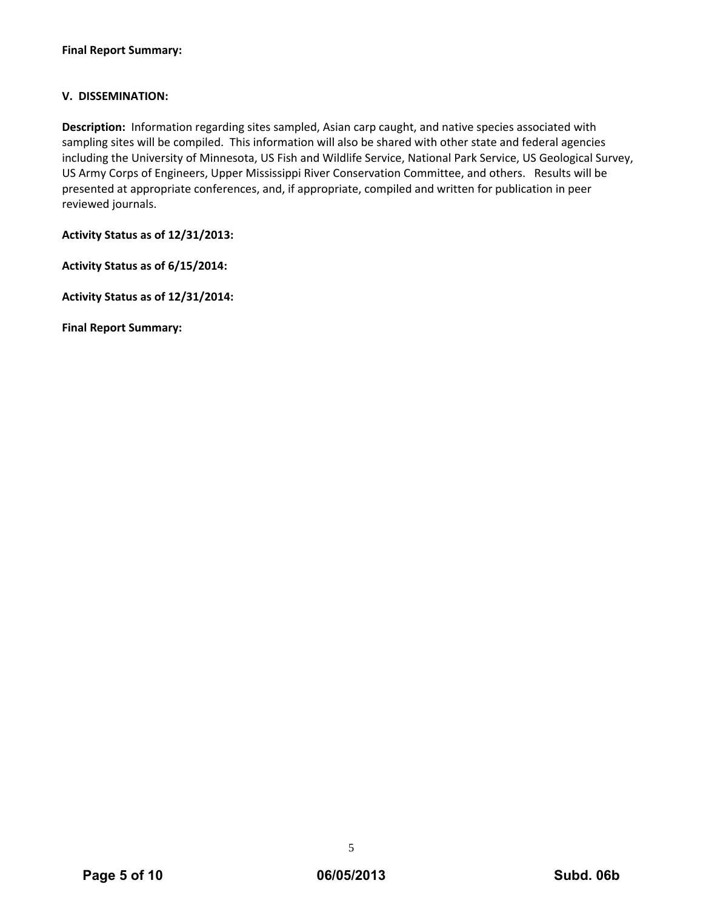# **V. DISSEMINATION:**

**Description:** Information regarding sites sampled, Asian carp caught, and native species associated with sampling sites will be compiled. This information will also be shared with other state and federal agencies including the University of Minnesota, US Fish and Wildlife Service, National Park Service, US Geological Survey, US Army Corps of Engineers, Upper Mississippi River Conservation Committee, and others. Results will be presented at appropriate conferences, and, if appropriate, compiled and written for publication in peer reviewed journals.

**Activity Status as of 12/31/2013:** 

**Activity Status as of 6/15/2014:** 

**Activity Status as of 12/31/2014:** 

**Final Report Summary:**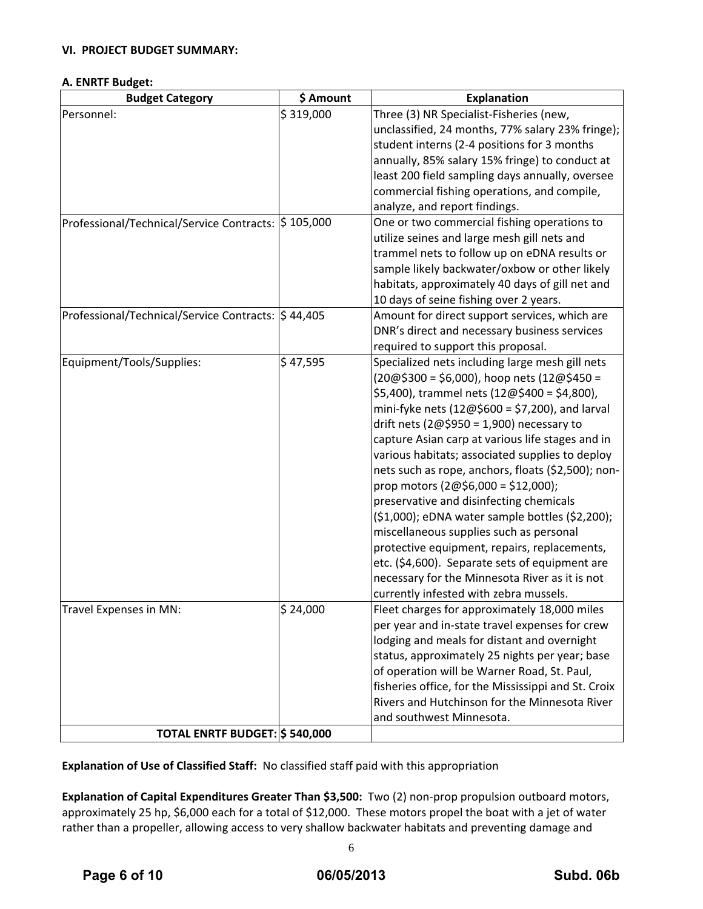## **VI. PROJECT BUDGET SUMMARY:**

### **A. ENRTF Budget:**

| <b>Budget Category</b>                              | \$ Amount            | <b>Explanation</b>                                  |
|-----------------------------------------------------|----------------------|-----------------------------------------------------|
| Personnel:                                          | \$319,000            | Three (3) NR Specialist-Fisheries (new,             |
|                                                     |                      | unclassified, 24 months, 77% salary 23% fringe);    |
|                                                     |                      | student interns (2-4 positions for 3 months         |
|                                                     |                      | annually, 85% salary 15% fringe) to conduct at      |
|                                                     |                      | least 200 field sampling days annually, oversee     |
|                                                     |                      | commercial fishing operations, and compile,         |
|                                                     |                      | analyze, and report findings.                       |
| Professional/Technical/Service Contracts: \$105,000 |                      | One or two commercial fishing operations to         |
|                                                     |                      | utilize seines and large mesh gill nets and         |
|                                                     |                      | trammel nets to follow up on eDNA results or        |
|                                                     |                      | sample likely backwater/oxbow or other likely       |
|                                                     |                      | habitats, approximately 40 days of gill net and     |
|                                                     |                      | 10 days of seine fishing over 2 years.              |
| Professional/Technical/Service Contracts:  \$44,405 |                      | Amount for direct support services, which are       |
|                                                     |                      | DNR's direct and necessary business services        |
|                                                     |                      | required to support this proposal.                  |
| Equipment/Tools/Supplies:                           | $\frac{1}{5}$ 47,595 | Specialized nets including large mesh gill nets     |
|                                                     |                      | $(20@$300 = $6,000)$ , hoop nets $(12@$450 =$       |
|                                                     |                      | \$5,400), trammel nets (12@\$400 = \$4,800),        |
|                                                     |                      | mini-fyke nets $(12@$600 = $7,200)$ , and larval    |
|                                                     |                      | drift nets ( $2@$950 = 1,900$ ) necessary to        |
|                                                     |                      | capture Asian carp at various life stages and in    |
|                                                     |                      | various habitats; associated supplies to deploy     |
|                                                     |                      | nets such as rope, anchors, floats (\$2,500); non-  |
|                                                     |                      | prop motors $(2@$6,000 = $12,000);$                 |
|                                                     |                      | preservative and disinfecting chemicals             |
|                                                     |                      | (\$1,000); eDNA water sample bottles (\$2,200);     |
|                                                     |                      | miscellaneous supplies such as personal             |
|                                                     |                      | protective equipment, repairs, replacements,        |
|                                                     |                      | etc. (\$4,600). Separate sets of equipment are      |
|                                                     |                      | necessary for the Minnesota River as it is not      |
|                                                     |                      | currently infested with zebra mussels.              |
| Travel Expenses in MN:                              | \$24,000             | Fleet charges for approximately 18,000 miles        |
|                                                     |                      | per year and in-state travel expenses for crew      |
|                                                     |                      | lodging and meals for distant and overnight         |
|                                                     |                      | status, approximately 25 nights per year; base      |
|                                                     |                      | of operation will be Warner Road, St. Paul,         |
|                                                     |                      | fisheries office, for the Mississippi and St. Croix |
|                                                     |                      | Rivers and Hutchinson for the Minnesota River       |
|                                                     |                      | and southwest Minnesota.                            |
| TOTAL ENRTF BUDGET: \$540,000                       |                      |                                                     |

**Explanation of Use of Classified Staff:** No classified staff paid with this appropriation

**Explanation of Capital Expenditures Greater Than \$3,500:** Two (2) non‐prop propulsion outboard motors, approximately 25 hp, \$6,000 each for a total of \$12,000. These motors propel the boat with a jet of water rather than a propeller, allowing access to very shallow backwater habitats and preventing damage and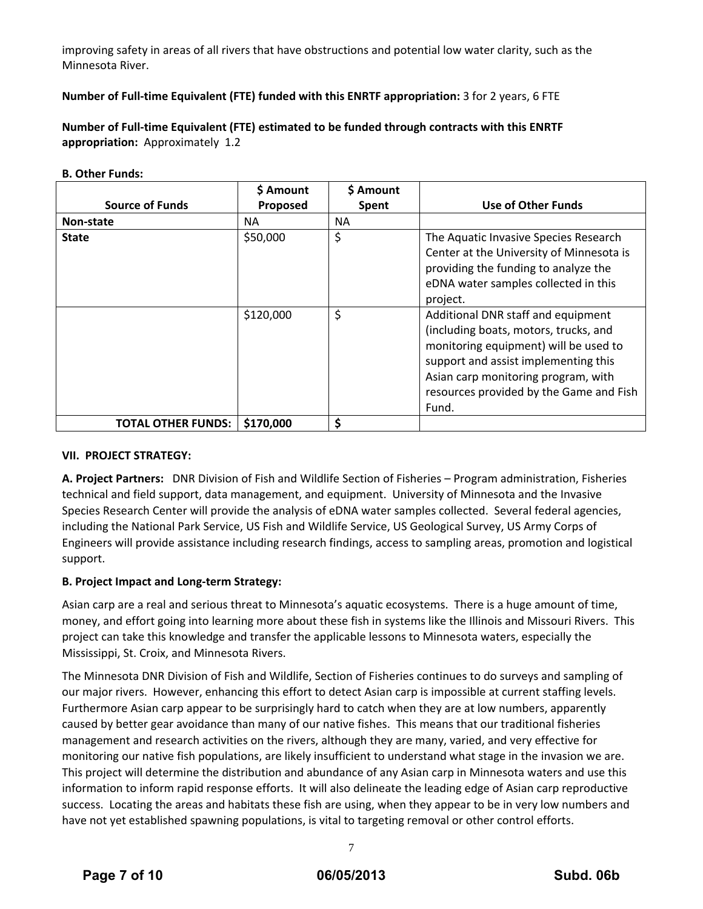improving safety in areas of all rivers that have obstructions and potential low water clarity, such as the Minnesota River.

# **Number of Full‐time Equivalent (FTE) funded with this ENRTF appropriation:** 3 for 2 years, 6 FTE

**Number of Full‐time Equivalent (FTE) estimated to be funded through contracts with this ENRTF appropriation:** Approximately 1.2

#### **B. Other Funds:**

|                           | \$ Amount | \$ Amount |                                                                                                                                                                                                                                                         |
|---------------------------|-----------|-----------|---------------------------------------------------------------------------------------------------------------------------------------------------------------------------------------------------------------------------------------------------------|
| <b>Source of Funds</b>    | Proposed  | Spent     | <b>Use of Other Funds</b>                                                                                                                                                                                                                               |
| Non-state                 | <b>NA</b> | NА        |                                                                                                                                                                                                                                                         |
| <b>State</b>              | \$50,000  | \$        | The Aquatic Invasive Species Research<br>Center at the University of Minnesota is<br>providing the funding to analyze the<br>eDNA water samples collected in this<br>project.                                                                           |
|                           | \$120,000 | \$        | Additional DNR staff and equipment<br>(including boats, motors, trucks, and<br>monitoring equipment) will be used to<br>support and assist implementing this<br>Asian carp monitoring program, with<br>resources provided by the Game and Fish<br>Fund. |
| <b>TOTAL OTHER FUNDS:</b> | \$170,000 | \$        |                                                                                                                                                                                                                                                         |

#### **VII. PROJECT STRATEGY:**

**A. Project Partners:** DNR Division of Fish and Wildlife Section of Fisheries – Program administration, Fisheries technical and field support, data management, and equipment. University of Minnesota and the Invasive Species Research Center will provide the analysis of eDNA water samples collected. Several federal agencies, including the National Park Service, US Fish and Wildlife Service, US Geological Survey, US Army Corps of Engineers will provide assistance including research findings, access to sampling areas, promotion and logistical support.

## **B. Project Impact and Long‐term Strategy:**

Asian carp are a real and serious threat to Minnesota's aquatic ecosystems. There is a huge amount of time, money, and effort going into learning more about these fish in systems like the Illinois and Missouri Rivers. This project can take this knowledge and transfer the applicable lessons to Minnesota waters, especially the Mississippi, St. Croix, and Minnesota Rivers.

The Minnesota DNR Division of Fish and Wildlife, Section of Fisheries continues to do surveys and sampling of our major rivers. However, enhancing this effort to detect Asian carp is impossible at current staffing levels. Furthermore Asian carp appear to be surprisingly hard to catch when they are at low numbers, apparently caused by better gear avoidance than many of our native fishes. This means that our traditional fisheries management and research activities on the rivers, although they are many, varied, and very effective for monitoring our native fish populations, are likely insufficient to understand what stage in the invasion we are. This project will determine the distribution and abundance of any Asian carp in Minnesota waters and use this information to inform rapid response efforts. It will also delineate the leading edge of Asian carp reproductive success. Locating the areas and habitats these fish are using, when they appear to be in very low numbers and have not yet established spawning populations, is vital to targeting removal or other control efforts.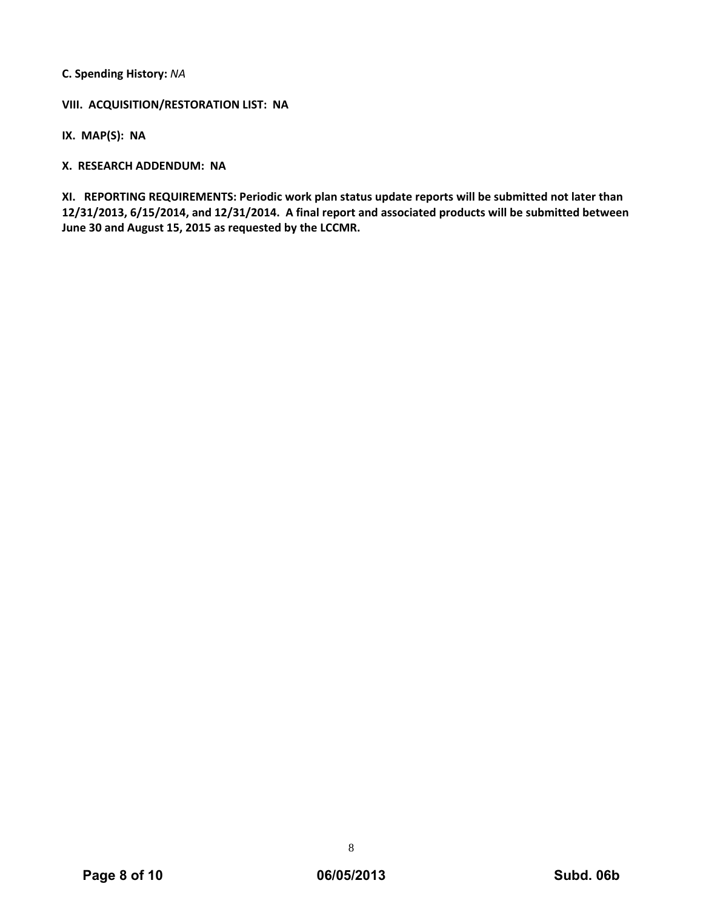**C. Spending History:** *NA*

**VIII. ACQUISITION/RESTORATION LIST: NA**

**IX. MAP(S): NA**

**X. RESEARCH ADDENDUM: NA**

**XI. REPORTING REQUIREMENTS: Periodic work plan status update reports will be submitted not later than 12/31/2013, 6/15/2014, and 12/31/2014. A final report and associated products will be submitted between June 30 and August 15, 2015 as requested by the LCCMR.**